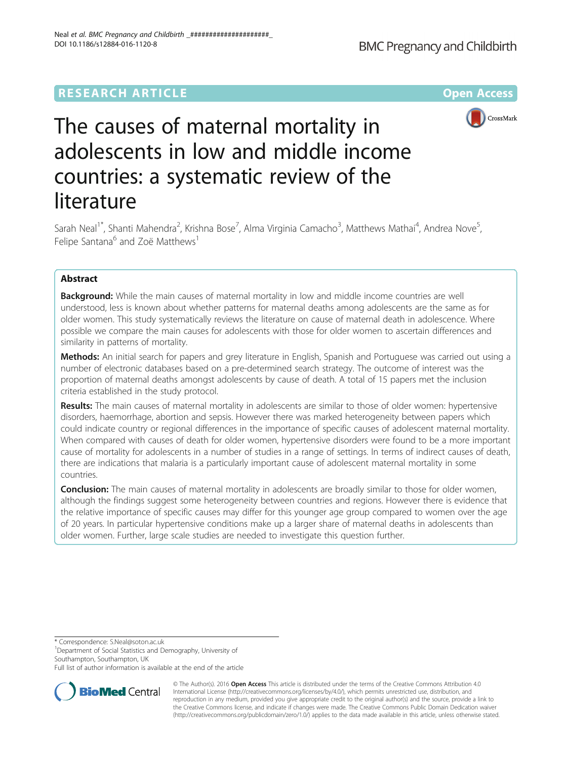### **RESEARCH ARTICLE Example 2014 12:30 The Contract of Contract Article 2014**



## The causes of maternal mortality in adolescents in low and middle income countries: a systematic review of the literature

Sarah Neal<sup>1\*</sup>, Shanti Mahendra<sup>2</sup>, Krishna Bose<sup>7</sup>, Alma Virginia Camacho<sup>3</sup>, Matthews Mathai<sup>4</sup>, Andrea Nove<sup>5</sup> , Felipe Santana<sup>6</sup> and Zoë Matthews<sup>1</sup>

#### Abstract

**Background:** While the main causes of maternal mortality in low and middle income countries are well understood, less is known about whether patterns for maternal deaths among adolescents are the same as for older women. This study systematically reviews the literature on cause of maternal death in adolescence. Where possible we compare the main causes for adolescents with those for older women to ascertain differences and similarity in patterns of mortality.

Methods: An initial search for papers and grey literature in English, Spanish and Portuguese was carried out using a number of electronic databases based on a pre-determined search strategy. The outcome of interest was the proportion of maternal deaths amongst adolescents by cause of death. A total of 15 papers met the inclusion criteria established in the study protocol.

Results: The main causes of maternal mortality in adolescents are similar to those of older women: hypertensive disorders, haemorrhage, abortion and sepsis. However there was marked heterogeneity between papers which could indicate country or regional differences in the importance of specific causes of adolescent maternal mortality. When compared with causes of death for older women, hypertensive disorders were found to be a more important cause of mortality for adolescents in a number of studies in a range of settings. In terms of indirect causes of death, there are indications that malaria is a particularly important cause of adolescent maternal mortality in some countries.

**Conclusion:** The main causes of maternal mortality in adolescents are broadly similar to those for older women, although the findings suggest some heterogeneity between countries and regions. However there is evidence that the relative importance of specific causes may differ for this younger age group compared to women over the age of 20 years. In particular hypertensive conditions make up a larger share of maternal deaths in adolescents than older women. Further, large scale studies are needed to investigate this question further.

\* Correspondence: [S.Neal@soton.ac.uk](mailto:S.Neal@soton.ac.uk) <sup>1</sup>

<sup>1</sup>Department of Social Statistics and Demography, University of Southampton, Southampton, UK

Full list of author information is available at the end of the article



© The Author(s). 2016 Open Access This article is distributed under the terms of the Creative Commons Attribution 4.0 International License [\(http://creativecommons.org/licenses/by/4.0/](http://creativecommons.org/licenses/by/4.0/)), which permits unrestricted use, distribution, and reproduction in any medium, provided you give appropriate credit to the original author(s) and the source, provide a link to the Creative Commons license, and indicate if changes were made. The Creative Commons Public Domain Dedication waiver [\(http://creativecommons.org/publicdomain/zero/1.0/](http://creativecommons.org/publicdomain/zero/1.0/)) applies to the data made available in this article, unless otherwise stated.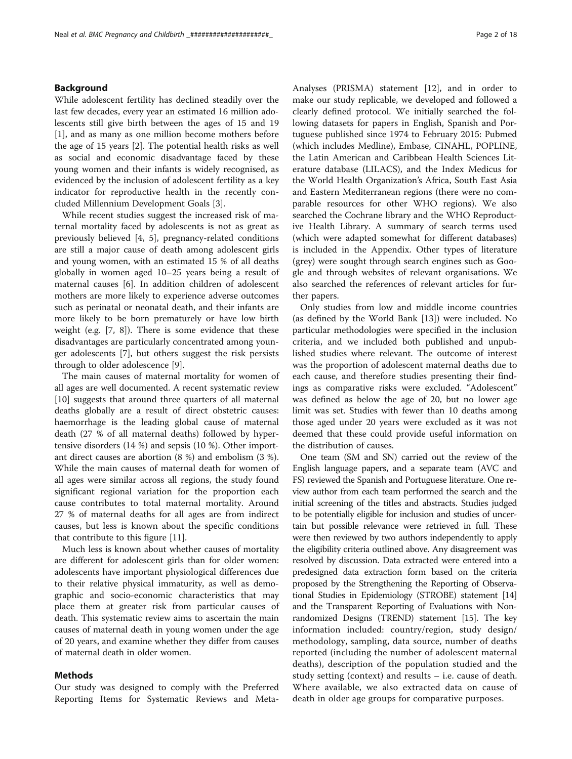#### Background

While adolescent fertility has declined steadily over the last few decades, every year an estimated 16 million adolescents still give birth between the ages of 15 and 19 [[1\]](#page-16-0), and as many as one million become mothers before the age of 15 years [[2](#page-16-0)]. The potential health risks as well as social and economic disadvantage faced by these young women and their infants is widely recognised, as evidenced by the inclusion of adolescent fertility as a key indicator for reproductive health in the recently concluded Millennium Development Goals [[3](#page-16-0)].

While recent studies suggest the increased risk of maternal mortality faced by adolescents is not as great as previously believed [[4, 5](#page-16-0)], pregnancy-related conditions are still a major cause of death among adolescent girls and young women, with an estimated 15 % of all deaths globally in women aged 10–25 years being a result of maternal causes [\[6](#page-16-0)]. In addition children of adolescent mothers are more likely to experience adverse outcomes such as perinatal or neonatal death, and their infants are more likely to be born prematurely or have low birth weight (e.g. [[7, 8](#page-16-0)]). There is some evidence that these disadvantages are particularly concentrated among younger adolescents [[7\]](#page-16-0), but others suggest the risk persists through to older adolescence [[9\]](#page-16-0).

The main causes of maternal mortality for women of all ages are well documented. A recent systematic review [[10\]](#page-16-0) suggests that around three quarters of all maternal deaths globally are a result of direct obstetric causes: haemorrhage is the leading global cause of maternal death (27 % of all maternal deaths) followed by hypertensive disorders (14 %) and sepsis (10 %). Other important direct causes are abortion (8 %) and embolism (3 %). While the main causes of maternal death for women of all ages were similar across all regions, the study found significant regional variation for the proportion each cause contributes to total maternal mortality. Around 27 % of maternal deaths for all ages are from indirect causes, but less is known about the specific conditions that contribute to this figure [[11](#page-16-0)].

Much less is known about whether causes of mortality are different for adolescent girls than for older women: adolescents have important physiological differences due to their relative physical immaturity, as well as demographic and socio-economic characteristics that may place them at greater risk from particular causes of death. This systematic review aims to ascertain the main causes of maternal death in young women under the age of 20 years, and examine whether they differ from causes of maternal death in older women.

#### Methods

Our study was designed to comply with the Preferred Reporting Items for Systematic Reviews and MetaAnalyses (PRISMA) statement [[12\]](#page-16-0), and in order to make our study replicable, we developed and followed a clearly defined protocol. We initially searched the following datasets for papers in English, Spanish and Portuguese published since 1974 to February 2015: Pubmed (which includes Medline), Embase, CINAHL, POPLINE, the Latin American and Caribbean Health Sciences Literature database (LILACS), and the Index Medicus for the World Health Organization's Africa, South East Asia and Eastern Mediterranean regions (there were no comparable resources for other WHO regions). We also searched the Cochrane library and the WHO Reproductive Health Library. A summary of search terms used (which were adapted somewhat for different databases) is included in the [Appendix](#page-16-0). Other types of literature (grey) were sought through search engines such as Google and through websites of relevant organisations. We also searched the references of relevant articles for further papers.

Only studies from low and middle income countries (as defined by the World Bank [[13\]](#page-16-0)) were included. No particular methodologies were specified in the inclusion criteria, and we included both published and unpublished studies where relevant. The outcome of interest was the proportion of adolescent maternal deaths due to each cause, and therefore studies presenting their findings as comparative risks were excluded. "Adolescent" was defined as below the age of 20, but no lower age limit was set. Studies with fewer than 10 deaths among those aged under 20 years were excluded as it was not deemed that these could provide useful information on the distribution of causes.

One team (SM and SN) carried out the review of the English language papers, and a separate team (AVC and FS) reviewed the Spanish and Portuguese literature. One review author from each team performed the search and the initial screening of the titles and abstracts. Studies judged to be potentially eligible for inclusion and studies of uncertain but possible relevance were retrieved in full. These were then reviewed by two authors independently to apply the eligibility criteria outlined above. Any disagreement was resolved by discussion. Data extracted were entered into a predesigned data extraction form based on the criteria proposed by the Strengthening the Reporting of Observational Studies in Epidemiology (STROBE) statement [\[14](#page-16-0)] and the Transparent Reporting of Evaluations with Nonrandomized Designs (TREND) statement [\[15](#page-16-0)]. The key information included: country/region, study design/ methodology, sampling, data source, number of deaths reported (including the number of adolescent maternal deaths), description of the population studied and the study setting (context) and results – i.e. cause of death. Where available, we also extracted data on cause of death in older age groups for comparative purposes.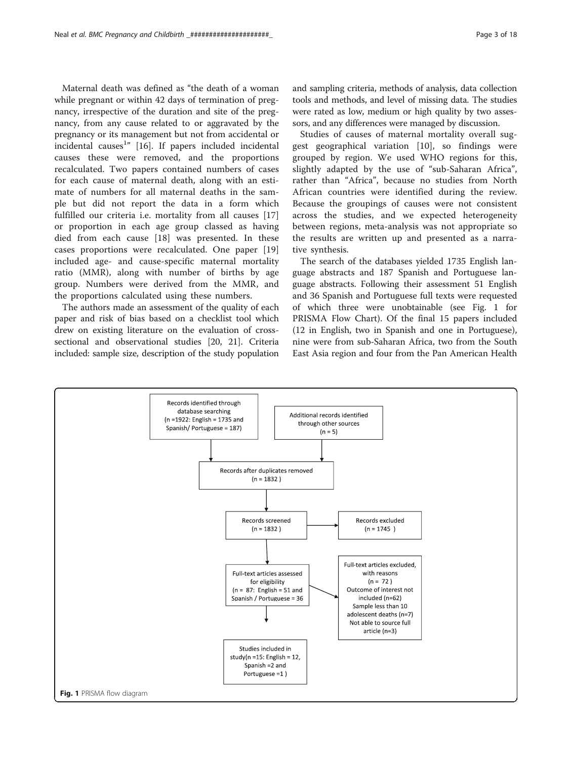Maternal death was defined as "the death of a woman while pregnant or within 42 days of termination of pregnancy, irrespective of the duration and site of the pregnancy, from any cause related to or aggravated by the pregnancy or its management but not from accidental or incidental causes<sup>1</sup>" [[16](#page-16-0)]. If papers included incidental causes these were removed, and the proportions recalculated. Two papers contained numbers of cases for each cause of maternal death, along with an estimate of numbers for all maternal deaths in the sample but did not report the data in a form which fulfilled our criteria i.e. mortality from all causes [\[17](#page-16-0)] or proportion in each age group classed as having died from each cause [\[18](#page-17-0)] was presented. In these cases proportions were recalculated. One paper [\[19](#page-17-0)] included age- and cause-specific maternal mortality ratio (MMR), along with number of births by age group. Numbers were derived from the MMR, and the proportions calculated using these numbers.

The authors made an assessment of the quality of each paper and risk of bias based on a checklist tool which drew on existing literature on the evaluation of crosssectional and observational studies [\[20](#page-17-0), [21\]](#page-17-0). Criteria included: sample size, description of the study population and sampling criteria, methods of analysis, data collection tools and methods, and level of missing data. The studies were rated as low, medium or high quality by two assessors, and any differences were managed by discussion.

Studies of causes of maternal mortality overall suggest geographical variation [\[10](#page-16-0)], so findings were grouped by region. We used WHO regions for this, slightly adapted by the use of "sub-Saharan Africa", rather than "Africa", because no studies from North African countries were identified during the review. Because the groupings of causes were not consistent across the studies, and we expected heterogeneity between regions, meta-analysis was not appropriate so the results are written up and presented as a narrative synthesis.

The search of the databases yielded 1735 English language abstracts and 187 Spanish and Portuguese language abstracts. Following their assessment 51 English and 36 Spanish and Portuguese full texts were requested of which three were unobtainable (see Fig. 1 for PRISMA Flow Chart). Of the final 15 papers included (12 in English, two in Spanish and one in Portuguese), nine were from sub-Saharan Africa, two from the South East Asia region and four from the Pan American Health

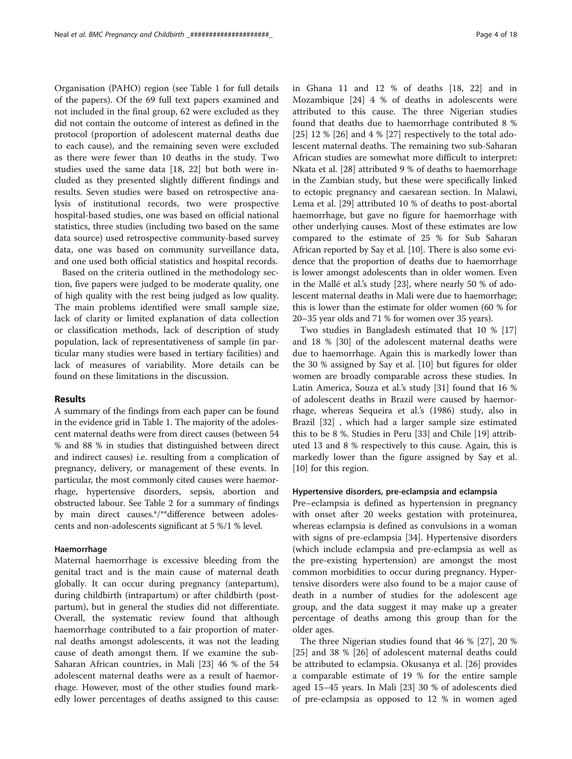Organisation (PAHO) region (see Table [1](#page-4-0) for full details of the papers). Of the 69 full text papers examined and not included in the final group, 62 were excluded as they did not contain the outcome of interest as defined in the protocol (proportion of adolescent maternal deaths due to each cause), and the remaining seven were excluded as there were fewer than 10 deaths in the study. Two studies used the same data [\[18, 22](#page-17-0)] but both were included as they presented slightly different findings and results. Seven studies were based on retrospective analysis of institutional records, two were prospective hospital-based studies, one was based on official national statistics, three studies (including two based on the same data source) used retrospective community-based survey data, one was based on community surveillance data, and one used both official statistics and hospital records.

Based on the criteria outlined in the methodology section, five papers were judged to be moderate quality, one of high quality with the rest being judged as low quality. The main problems identified were small sample size, lack of clarity or limited explanation of data collection or classification methods, lack of description of study population, lack of representativeness of sample (in particular many studies were based in tertiary facilities) and lack of measures of variability. More details can be found on these limitations in the discussion.

#### Results

A summary of the findings from each paper can be found in the evidence grid in Table [1](#page-4-0). The majority of the adolescent maternal deaths were from direct causes (between 54 % and 88 % in studies that distinguished between direct and indirect causes) i.e. resulting from a complication of pregnancy, delivery, or management of these events. In particular, the most commonly cited causes were haemorrhage, hypertensive disorders, sepsis, abortion and obstructed labour. See Table [2](#page-12-0) for a summary of findings by main direct causes.\*/\*\*difference between adolescents and non-adolescents significant at 5 %/1 % level.

#### Haemorrhage

Maternal haemorrhage is excessive bleeding from the genital tract and is the main cause of maternal death globally. It can occur during pregnancy (antepartum), during childbirth (intrapartum) or after childbirth (postpartum), but in general the studies did not differentiate. Overall, the systematic review found that although haemorrhage contributed to a fair proportion of maternal deaths amongst adolescents, it was not the leading cause of death amongst them. If we examine the sub-Saharan African countries, in Mali [[23\]](#page-17-0) 46 % of the 54 adolescent maternal deaths were as a result of haemorrhage. However, most of the other studies found markedly lower percentages of deaths assigned to this cause: in Ghana 11 and 12 % of deaths [[18, 22](#page-17-0)] and in Mozambique [\[24](#page-17-0)] 4 % of deaths in adolescents were attributed to this cause. The three Nigerian studies found that deaths due to haemorrhage contributed 8 % [[25\]](#page-17-0) 12 % [[26\]](#page-17-0) and 4 % [[27\]](#page-17-0) respectively to the total adolescent maternal deaths. The remaining two sub-Saharan African studies are somewhat more difficult to interpret: Nkata et al. [[28](#page-17-0)] attributed 9 % of deaths to haemorrhage in the Zambian study, but these were specifically linked to ectopic pregnancy and caesarean section. In Malawi, Lema et al. [\[29\]](#page-17-0) attributed 10 % of deaths to post-abortal haemorrhage, but gave no figure for haemorrhage with other underlying causes. Most of these estimates are low compared to the estimate of 25 % for Sub Saharan African reported by Say et al. [\[10\]](#page-16-0). There is also some evidence that the proportion of deaths due to haemorrhage is lower amongst adolescents than in older women. Even in the Mallé et al.'s study [\[23\]](#page-17-0), where nearly 50 % of adolescent maternal deaths in Mali were due to haemorrhage; this is lower than the estimate for older women (60 % for 20–35 year olds and 71 % for women over 35 years).

Two studies in Bangladesh estimated that 10 % [[17](#page-16-0)] and 18 % [\[30\]](#page-17-0) of the adolescent maternal deaths were due to haemorrhage. Again this is markedly lower than the 30 % assigned by Say et al. [[10](#page-16-0)] but figures for older women are broadly comparable across these studies. In Latin America, Souza et al.'s study [[31\]](#page-17-0) found that 16 % of adolescent deaths in Brazil were caused by haemorrhage, whereas Sequeira et al.'s (1986) study, also in Brazil [[32\]](#page-17-0) , which had a larger sample size estimated this to be 8 %. Studies in Peru [\[33\]](#page-17-0) and Chile [[19\]](#page-17-0) attributed 13 and 8 % respectively to this cause. Again, this is markedly lower than the figure assigned by Say et al. [[10\]](#page-16-0) for this region.

#### Hypertensive disorders, pre-eclampsia and eclampsia

Pre–eclampsia is defined as hypertension in pregnancy with onset after 20 weeks gestation with proteinurea, whereas eclampsia is defined as convulsions in a woman with signs of pre-eclampsia [\[34](#page-17-0)]. Hypertensive disorders (which include eclampsia and pre-eclampsia as well as the pre-existing hypertension) are amongst the most common morbidities to occur during pregnancy. Hypertensive disorders were also found to be a major cause of death in a number of studies for the adolescent age group, and the data suggest it may make up a greater percentage of deaths among this group than for the older ages.

The three Nigerian studies found that 46 % [[27\]](#page-17-0), 20 % [[25\]](#page-17-0) and 38 % [[26\]](#page-17-0) of adolescent maternal deaths could be attributed to eclampsia. Okusanya et al. [[26\]](#page-17-0) provides a comparable estimate of 19 % for the entire sample aged 15–45 years. In Mali [[23](#page-17-0)] 30 % of adolescents died of pre-eclampsia as opposed to 12 % in women aged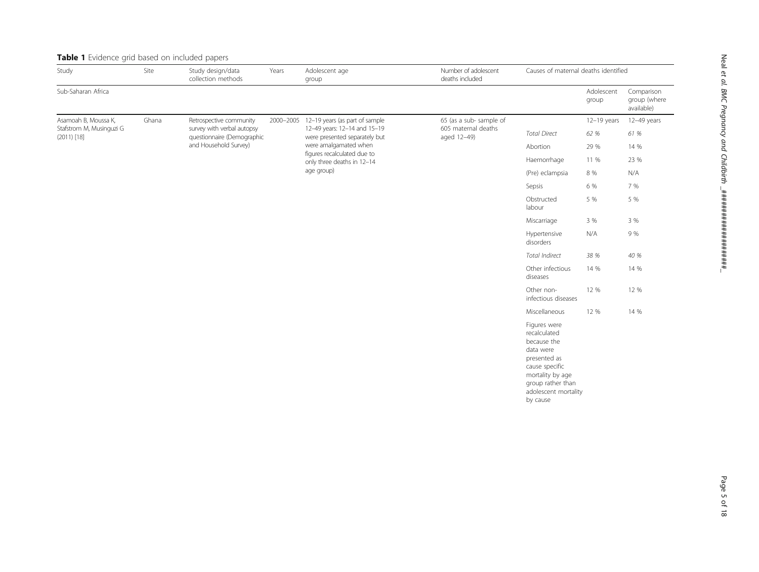| Study                                     | Site  | Study design/data<br>collection methods                  | Years | Adolescent age<br>group                                       | Number of adolescent<br>deaths included | Causes of maternal deaths identified                                                                                                                                    |                     |                                          |
|-------------------------------------------|-------|----------------------------------------------------------|-------|---------------------------------------------------------------|-----------------------------------------|-------------------------------------------------------------------------------------------------------------------------------------------------------------------------|---------------------|------------------------------------------|
| Sub-Saharan Africa                        |       |                                                          |       |                                                               |                                         |                                                                                                                                                                         | Adolescent<br>group | Comparison<br>group (where<br>available) |
| Asamoah B, Moussa K,                      | Ghana | Retrospective community                                  |       | 2000-2005 12-19 years (as part of sample                      | 65 (as a sub- sample of                 |                                                                                                                                                                         | $12-19$ years       | 12-49 years                              |
| Stafstrom M, Musinguzi G<br>$(2011)$ [18] |       | survey with verbal autopsy<br>questionnaire (Demographic |       | 12-49 years: 12-14 and 15-19<br>were presented separately but | 605 maternal deaths<br>aged 12-49)      | <b>Total Direct</b>                                                                                                                                                     | 62 %                | 61 %                                     |
|                                           |       | and Household Survey)                                    |       | were amalgamated when<br>figures recalculated due to          |                                         | Abortion                                                                                                                                                                | 29 %                | 14 %                                     |
|                                           |       |                                                          |       | only three deaths in 12-14                                    |                                         | Haemorrhage                                                                                                                                                             | 11 %                | 23 %                                     |
|                                           |       |                                                          |       | age group)                                                    |                                         | (Pre) eclampsia                                                                                                                                                         | 8 %                 | N/A                                      |
|                                           |       |                                                          |       |                                                               |                                         | Sepsis                                                                                                                                                                  | 6 %                 | 7 %                                      |
|                                           |       |                                                          |       |                                                               | Obstructed<br>labour                    | 5 %                                                                                                                                                                     | 5 %                 |                                          |
|                                           |       |                                                          |       |                                                               | Miscarriage                             | 3 %                                                                                                                                                                     | 3 %                 |                                          |
|                                           |       |                                                          |       |                                                               |                                         | Hypertensive<br>disorders                                                                                                                                               | N/A                 | 9 %                                      |
|                                           |       |                                                          |       |                                                               |                                         | Total Indirect                                                                                                                                                          | 38 %                | 40 %                                     |
|                                           |       |                                                          |       |                                                               |                                         | Other infectious<br>diseases                                                                                                                                            | 14 %                | 14 %                                     |
|                                           |       |                                                          |       |                                                               |                                         | Other non-<br>infectious diseases                                                                                                                                       | 12 %                | 12 %                                     |
|                                           |       |                                                          |       |                                                               |                                         | Miscellaneous                                                                                                                                                           | 12 %                | 14 %                                     |
|                                           |       |                                                          |       |                                                               |                                         | Figures were<br>recalculated<br>because the<br>data were<br>presented as<br>cause specific<br>mortality by age<br>group rather than<br>adolescent mortality<br>by cause |                     |                                          |

#### <span id="page-4-0"></span>Table 1 Evidence grid based on included papers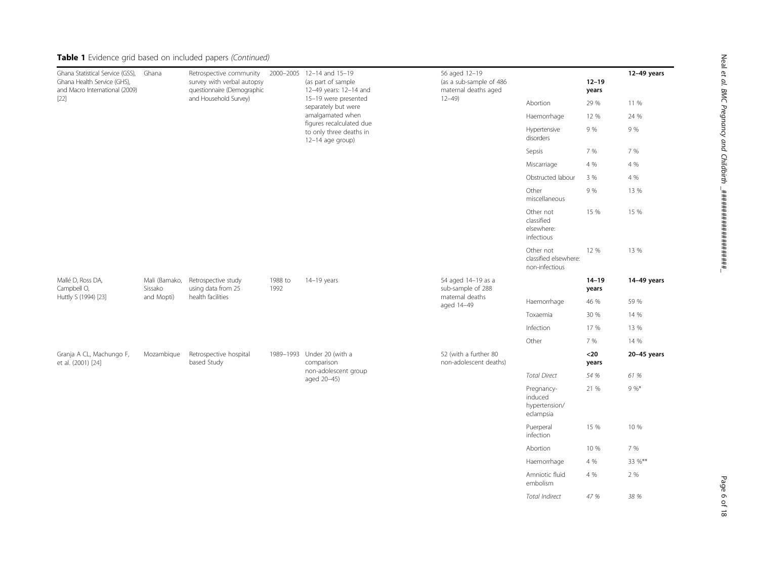| Ghana Statistical Service (GSS),<br>Ghana Health Service (GHS),<br>and Macro International (2009)<br>$[22]$ | Ghana                    | Retrospective community<br>survey with verbal autopsy<br>questionnaire (Demographic |                 | 2000-2005 12-14 and 15-19<br>(as part of sample<br>12-49 years: 12-14 and | 56 aged 12-19<br>(as a sub-sample of 486<br>maternal deaths aged |                                                      | $12 - 19$<br>years | $12-49$ years |
|-------------------------------------------------------------------------------------------------------------|--------------------------|-------------------------------------------------------------------------------------|-----------------|---------------------------------------------------------------------------|------------------------------------------------------------------|------------------------------------------------------|--------------------|---------------|
|                                                                                                             |                          | and Household Survey)                                                               |                 | 15-19 were presented<br>separately but were<br>amalgamated when           | $12 - 49$                                                        | Abortion                                             | 29 %               | 11 %          |
|                                                                                                             |                          |                                                                                     |                 |                                                                           |                                                                  | Haemorrhage                                          | 12 %               | 24 %          |
|                                                                                                             |                          |                                                                                     |                 | figures recalculated due<br>to only three deaths in<br>12-14 age group)   |                                                                  | Hypertensive<br>disorders                            | 9 %                | 9 %           |
|                                                                                                             |                          |                                                                                     |                 |                                                                           |                                                                  | Sepsis                                               | 7 %                | 7 %           |
|                                                                                                             |                          |                                                                                     |                 |                                                                           |                                                                  | Miscarriage                                          | 4 %                | 4 %           |
|                                                                                                             |                          |                                                                                     |                 |                                                                           |                                                                  | Obstructed labour                                    | 3 %                | 4 %           |
|                                                                                                             |                          |                                                                                     |                 |                                                                           |                                                                  | Other<br>miscellaneous                               | 9 %                | 13 %          |
|                                                                                                             |                          |                                                                                     |                 |                                                                           |                                                                  | Other not<br>classified<br>elsewhere:<br>infectious  | 15 %               | 15 %          |
|                                                                                                             |                          |                                                                                     |                 |                                                                           |                                                                  | Other not<br>classified elsewhere:<br>non-infectious | 12 %               | 13 %          |
| Mallé D, Ross DA,<br>Campbell O,                                                                            | Mali (Bamako,<br>Sissako | Retrospective study<br>using data from 25<br>and Mopti)<br>health facilities        | 1988 to<br>1992 | 14-19 years                                                               | 54 aged 14-19 as a<br>sub-sample of 288                          |                                                      | $14 - 19$<br>years | 14-49 years   |
| Huttly S (1994) [23]                                                                                        |                          |                                                                                     |                 |                                                                           | maternal deaths<br>aged 14-49                                    | Haemorrhage                                          | 46 %               | 59 %          |
|                                                                                                             |                          |                                                                                     |                 |                                                                           |                                                                  | Toxaemia                                             | 30 %               | 14 %          |
|                                                                                                             |                          |                                                                                     |                 |                                                                           |                                                                  | Infection                                            | 17 %               | 13 %          |
|                                                                                                             |                          |                                                                                     |                 |                                                                           |                                                                  | Other                                                | 7 %                | 14 %          |
| Granja A CL, Machungo F,<br>et al. (2001) [24]                                                              | Mozambique               | Retrospective hospital<br>based Study                                               |                 | 1989-1993 Under 20 (with a<br>comparison                                  | 52 (with a further 80<br>non-adolescent deaths)                  |                                                      | $20$<br>years      | $20-45$ years |
|                                                                                                             |                          |                                                                                     |                 | non-adolescent group<br>aged 20-45)                                       |                                                                  | <b>Total Direct</b>                                  | 54 %               | 61 %          |
|                                                                                                             |                          |                                                                                     |                 |                                                                           |                                                                  | Pregnancy-<br>induced<br>hypertension/<br>eclampsia  | 21 %               | 9 %*          |
|                                                                                                             |                          |                                                                                     |                 |                                                                           |                                                                  | Puerperal<br>infection                               | 15 %               | 10 %          |
|                                                                                                             |                          |                                                                                     |                 |                                                                           |                                                                  | Abortion                                             | 10 %               | 7 %           |
|                                                                                                             |                          |                                                                                     |                 |                                                                           |                                                                  | Haemorrhage                                          | 4 %                | 33 %**        |
|                                                                                                             |                          |                                                                                     |                 |                                                                           |                                                                  | Amniotic fluid<br>embolism                           | 4 %                | 2 %           |
|                                                                                                             |                          |                                                                                     |                 |                                                                           |                                                                  | Total Indirect                                       | 47 %               | 38 %          |

# Neal et al. BMC Pregnancy and Childbirth \_#################### et al. BMC Pregnancy and Childbirth \_#####################\_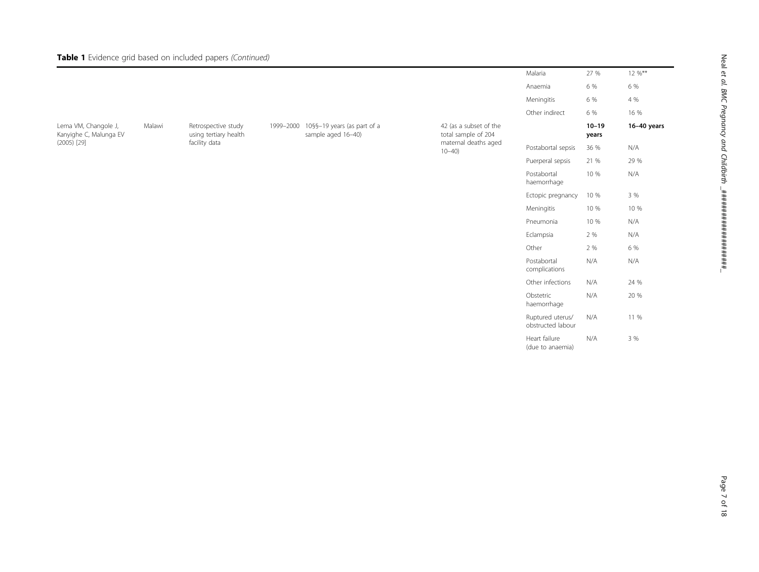|                                                |        |                                              |  |                                                             |  |                                               | Malaria                               | 27 %               | 12 %**        |
|------------------------------------------------|--------|----------------------------------------------|--|-------------------------------------------------------------|--|-----------------------------------------------|---------------------------------------|--------------------|---------------|
|                                                |        |                                              |  |                                                             |  |                                               | Anaemia                               | 6 %                | 6 %           |
|                                                |        |                                              |  |                                                             |  |                                               | Meningitis                            | 6 %                | 4 %           |
|                                                |        |                                              |  |                                                             |  |                                               | Other indirect                        | 6 %                | 16 %          |
| Lema VM, Changole J,<br>Kanyighe C, Malunga EV | Malawi | Retrospective study<br>using tertiary health |  | 1999-2000 10§§-19 years (as part of a<br>sample aged 16-40) |  | 42 (as a subset of the<br>total sample of 204 |                                       | $10 - 19$<br>years | $16-40$ years |
| $(2005)$ $[29]$                                |        | facility data                                |  |                                                             |  | maternal deaths aged<br>$10 - 40$             | Postabortal sepsis                    | 36 %               | N/A           |
|                                                |        |                                              |  |                                                             |  |                                               | Puerperal sepsis                      | 21 %               | 29 %          |
|                                                |        |                                              |  |                                                             |  |                                               | Postabortal<br>haemorrhage            | 10 %               | N/A           |
|                                                |        |                                              |  |                                                             |  |                                               | Ectopic pregnancy                     | 10 %               | 3 %           |
|                                                |        |                                              |  |                                                             |  |                                               | Meningitis                            | 10 %               | 10 %          |
|                                                |        |                                              |  |                                                             |  |                                               | Pneumonia                             | 10 %               | N/A           |
|                                                |        |                                              |  |                                                             |  |                                               | Eclampsia                             | 2 %                | N/A           |
|                                                |        |                                              |  |                                                             |  |                                               | Other                                 | 2 %                | 6 %           |
|                                                |        |                                              |  |                                                             |  |                                               | Postabortal<br>complications          | N/A                | N/A           |
|                                                |        |                                              |  |                                                             |  |                                               | Other infections                      | N/A                | 24 %          |
|                                                |        |                                              |  |                                                             |  |                                               | Obstetric<br>haemorrhage              | N/A                | 20 %          |
|                                                |        |                                              |  |                                                             |  |                                               | Ruptured uterus/<br>obstructed labour | N/A                | 11 %          |
|                                                |        |                                              |  |                                                             |  |                                               | Heart failure<br>(due to anaemia)     | N/A                | 3 %           |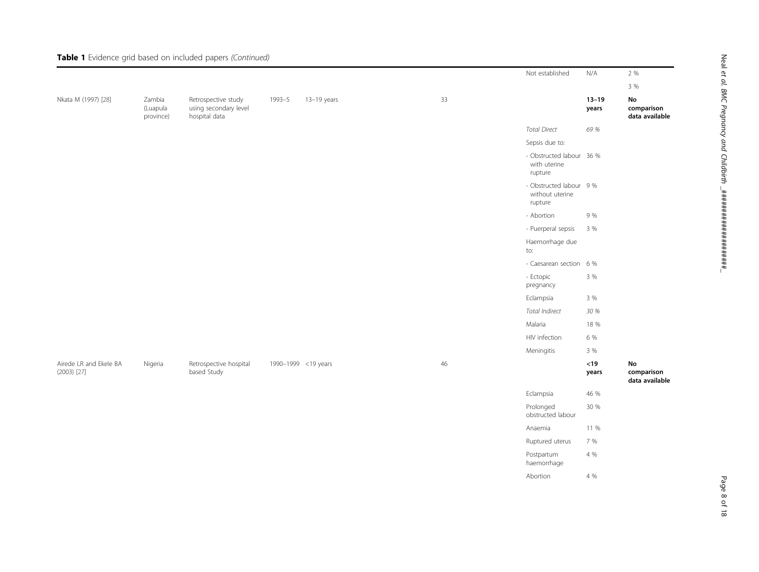|                                           |                                 |                                                               |                     |             |    | Not established                                       | N/A                | 2 %                                        |
|-------------------------------------------|---------------------------------|---------------------------------------------------------------|---------------------|-------------|----|-------------------------------------------------------|--------------------|--------------------------------------------|
|                                           |                                 |                                                               |                     |             |    |                                                       |                    | 3 %                                        |
| Nkata M (1997) [28]                       | Zambia<br>(Luapula<br>province) | Retrospective study<br>using secondary level<br>hospital data | 1993-5              | 13-19 years | 33 |                                                       | $13 - 19$<br>years | ${\sf No}$<br>comparison<br>data available |
|                                           |                                 |                                                               |                     |             |    | <b>Total Direct</b>                                   | 69 %               |                                            |
|                                           |                                 |                                                               |                     |             |    | Sepsis due to:                                        |                    |                                            |
|                                           |                                 |                                                               |                     |             |    | - Obstructed labour 36 %<br>with uterine<br>rupture   |                    |                                            |
|                                           |                                 |                                                               |                     |             |    | - Obstructed labour 9 %<br>without uterine<br>rupture |                    |                                            |
|                                           |                                 |                                                               |                     |             |    | - Abortion                                            | 9 %                |                                            |
|                                           |                                 |                                                               |                     |             |    | - Puerperal sepsis                                    | 3 %                |                                            |
|                                           |                                 |                                                               |                     |             |    | Haemorrhage due<br>to:                                |                    |                                            |
|                                           |                                 |                                                               |                     |             |    | - Caesarean section 6 %                               |                    |                                            |
|                                           |                                 |                                                               |                     |             |    | - Ectopic<br>pregnancy                                | 3 %                |                                            |
|                                           |                                 |                                                               |                     |             |    | Eclampsia                                             | 3 %                |                                            |
|                                           |                                 |                                                               |                     |             |    | Total Indirect                                        | 30 %               |                                            |
|                                           |                                 |                                                               |                     |             |    | Malaria                                               | 18 %               |                                            |
|                                           |                                 |                                                               |                     |             |    | HIV infection                                         | 6 %                |                                            |
|                                           |                                 |                                                               |                     |             |    | Meningitis                                            | 3 %                |                                            |
| Airede LR and Ekele BA<br>$(2003)$ $[27]$ | Nigeria                         | Retrospective hospital<br>based Study                         | 1990-1999 <19 years |             | 46 |                                                       | $19$<br>years      | No<br>comparison<br>data available         |
|                                           |                                 |                                                               |                     |             |    | Eclampsia                                             | 46 %               |                                            |
|                                           |                                 |                                                               |                     |             |    | Prolonged<br>obstructed labour                        | 30 %               |                                            |
|                                           |                                 |                                                               |                     |             |    | Anaemia                                               | $11\%$             |                                            |

Ruptured uterus 7 %

4 %

4 %

Postpartum haemorrhage

Abortion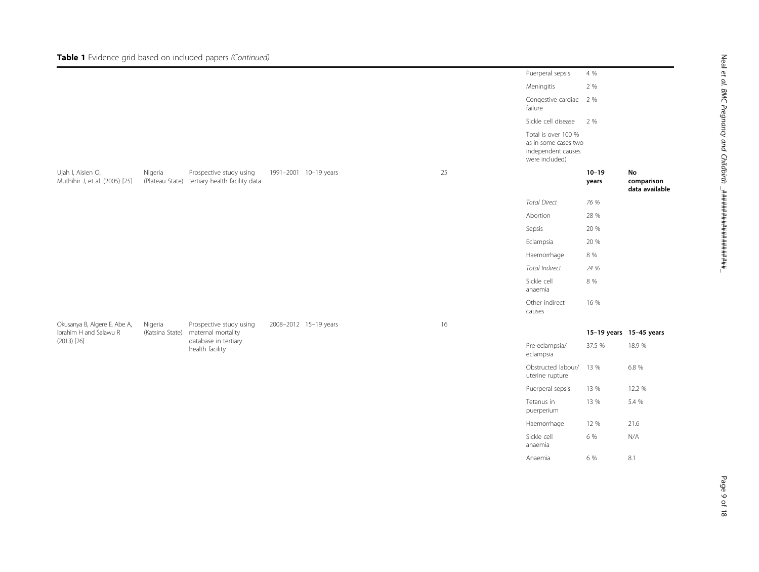|                                                     |                 |                                                                          |  |                       |    | Puerperal sepsis                                                                    | 4 %                |                                    |
|-----------------------------------------------------|-----------------|--------------------------------------------------------------------------|--|-----------------------|----|-------------------------------------------------------------------------------------|--------------------|------------------------------------|
|                                                     |                 |                                                                          |  |                       |    | Meningitis                                                                          | 2 %                |                                    |
|                                                     |                 |                                                                          |  |                       |    | Congestive cardiac 2 %<br>failure                                                   |                    |                                    |
|                                                     |                 |                                                                          |  |                       |    | Sickle cell disease                                                                 | 2 %                |                                    |
|                                                     |                 |                                                                          |  |                       |    | Total is over 100 %<br>as in some cases two<br>independent causes<br>were included) |                    |                                    |
| Ujah I, Aisien O,<br>Muthihir J, et al. (2005) [25] | Nigeria         | Prospective study using<br>(Plateau State) tertiary health facility data |  | 1991-2001 10-19 years | 25 |                                                                                     | $10 - 19$<br>years | No<br>comparison<br>data available |
|                                                     |                 |                                                                          |  |                       |    | <b>Total Direct</b>                                                                 | 76 %               |                                    |
|                                                     |                 |                                                                          |  |                       |    | Abortion                                                                            | 28 %               |                                    |
|                                                     |                 |                                                                          |  |                       |    | Sepsis                                                                              | 20 %               |                                    |
|                                                     |                 |                                                                          |  |                       |    | Eclampsia                                                                           | 20 %               |                                    |
|                                                     |                 |                                                                          |  |                       |    | Haemorrhage                                                                         | 8 %                |                                    |
|                                                     |                 |                                                                          |  |                       |    | Total Indirect                                                                      | 24 %               |                                    |
|                                                     |                 |                                                                          |  |                       |    | Sickle cell<br>anaemia                                                              | 8 %                |                                    |
|                                                     |                 |                                                                          |  |                       |    | Other indirect<br>causes                                                            | 16 %               |                                    |
| Okusanya B, Algere E, Abe A,                        | Nigeria         | Prospective study using                                                  |  | 2008-2012 15-19 years | 16 |                                                                                     |                    |                                    |
| Ibrahim H and Salawu R<br>$(2013)$ $[26]$           | (Katsina State) | maternal mortality<br>database in tertiary                               |  |                       |    |                                                                                     |                    | 15-19 years 15-45 years            |
|                                                     |                 | health facility                                                          |  |                       |    | Pre-eclampsia/<br>eclampsia                                                         | 37.5 %             | 18.9%                              |
|                                                     |                 |                                                                          |  |                       |    | Obstructed labour/<br>uterine rupture                                               | 13 %               | 6.8 %                              |
|                                                     |                 |                                                                          |  |                       |    | Puerperal sepsis                                                                    | 13 %               | 12.2 %                             |
|                                                     |                 |                                                                          |  |                       |    | Tetanus in<br>puerperium                                                            | 13 %               | 5.4 %                              |
|                                                     |                 |                                                                          |  |                       |    | Haemorrhage                                                                         | 12 %               | 21.6                               |

Sickle cell anaemia

Anaemia

6 %

6 %

 $N/A$ 

8.1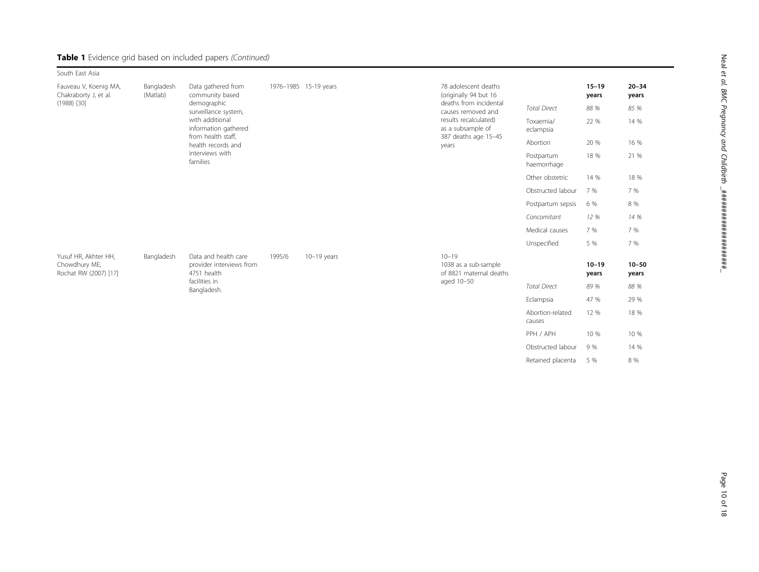| South East Asia                                                |                        |                                                                 |        |                       |                                                              |                            |                    |                    |
|----------------------------------------------------------------|------------------------|-----------------------------------------------------------------|--------|-----------------------|--------------------------------------------------------------|----------------------------|--------------------|--------------------|
| Fauveau V, Koenig MA,<br>Chakraborty J, et al.                 | Bangladesh<br>(Matlab) | Data gathered from<br>community based                           |        | 1976-1985 15-19 years | 78 adolescent deaths<br>(originally 94 but 16                |                            | $15 - 19$<br>years | $20 - 34$<br>years |
| $(1988)$ [30]                                                  |                        | demographic<br>surveillance system,                             |        |                       | deaths from incidental<br>causes removed and                 | <b>Total Direct</b>        | 88 %               | 85 %               |
|                                                                |                        | with additional<br>information gathered                         |        |                       | results recalculated)<br>as a subsample of                   | Toxaemia/<br>eclampsia     | 22 %               | 14 %               |
|                                                                |                        | from health staff,<br>health records and                        |        |                       | 387 deaths age 15-45<br>years                                | Abortion                   | 20 %               | 16 %               |
|                                                                |                        | interviews with<br>families                                     |        |                       |                                                              | Postpartum<br>haemorrhage  | 18 %               | 21 %               |
|                                                                |                        |                                                                 |        |                       |                                                              | Other obstetric            | 14 %               | 18 %               |
|                                                                |                        |                                                                 |        |                       |                                                              | Obstructed labour          | 7 %                | 7 %                |
|                                                                |                        |                                                                 |        |                       |                                                              | Postpartum sepsis          | 6 %                | 8 %                |
|                                                                |                        |                                                                 |        |                       |                                                              | Concomitant                | 12 %               | 14 %               |
|                                                                |                        |                                                                 |        |                       |                                                              | Medical causes             | 7 %                | 7 %                |
|                                                                |                        |                                                                 |        |                       |                                                              | Unspecified                | 5 %                | 7 %                |
| Yusuf HR, Akhter HH,<br>Chowdhury ME,<br>Rochat RW (2007) [17] | Bangladesh             | Data and health care<br>provider interviews from<br>4751 health | 1995/6 | $10-19$ years         | $10 - 19$<br>1038 as a sub-sample<br>of 8821 maternal deaths |                            | $10 - 19$<br>years | $10 - 50$<br>years |
|                                                                |                        | facilities in<br>Bangladesh.                                    |        |                       | aged 10-50                                                   | <b>Total Direct</b>        | 89 %               | 88 %               |
|                                                                |                        |                                                                 |        |                       |                                                              | Eclampsia                  | 47 %               | 29 %               |
|                                                                |                        |                                                                 |        |                       |                                                              | Abortion-related<br>causes | 12 %               | 18 %               |
|                                                                |                        |                                                                 |        |                       |                                                              | PPH / APH                  | 10 %               | 10 %               |
|                                                                |                        |                                                                 |        |                       |                                                              | Obstructed labour          | 9 %                | 14 %               |
|                                                                |                        |                                                                 |        |                       |                                                              | Retained placenta          | 5 %                | 8 %                |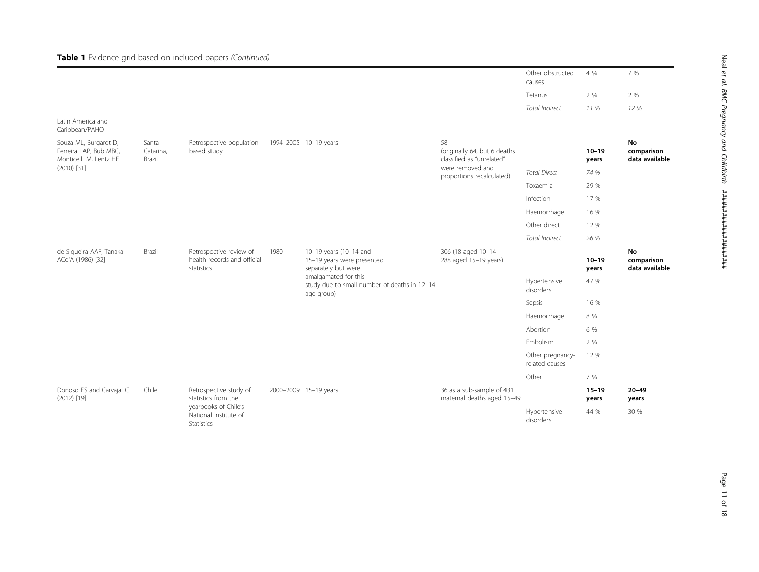|                                                                           |                              |                                                                      |      |                                                                                    |                                                                 | Other obstructed<br>causes         | 4 %                | 7 %                                |
|---------------------------------------------------------------------------|------------------------------|----------------------------------------------------------------------|------|------------------------------------------------------------------------------------|-----------------------------------------------------------------|------------------------------------|--------------------|------------------------------------|
|                                                                           |                              |                                                                      |      |                                                                                    |                                                                 | Tetanus                            | 2 %                | 2 %                                |
|                                                                           |                              |                                                                      |      |                                                                                    |                                                                 | Total Indirect                     | 11 %               | 12 %                               |
| Latin America and<br>Caribbean/PAHO                                       |                              |                                                                      |      |                                                                                    |                                                                 |                                    |                    |                                    |
| Souza ML, Burgardt D,<br>Ferreira LAP, Bub MBC,<br>Monticelli M, Lentz HE | Santa<br>Catarina,<br>Brazil | Retrospective population<br>based study                              |      | 1994-2005 10-19 years                                                              | 58<br>(originally 64, but 6 deaths<br>classified as "unrelated" |                                    | $10 - 19$<br>years | No<br>comparison<br>data available |
| $(2010)$ [31]                                                             |                              |                                                                      |      |                                                                                    | were removed and<br>proportions recalculated)                   | <b>Total Direct</b>                | 74 %               |                                    |
|                                                                           |                              |                                                                      |      |                                                                                    |                                                                 | Toxaemia                           | 29 %               |                                    |
|                                                                           |                              |                                                                      |      |                                                                                    |                                                                 | Infection                          | 17 %               |                                    |
|                                                                           |                              |                                                                      |      |                                                                                    |                                                                 | Haemorrhage                        | 16 %               |                                    |
|                                                                           |                              |                                                                      |      |                                                                                    |                                                                 | Other direct                       | 12 %               |                                    |
|                                                                           |                              |                                                                      |      |                                                                                    |                                                                 | Total Indirect                     | 26 %               |                                    |
| de Sigueira AAF, Tanaka<br>ACd'A (1986) [32]                              | Brazil                       | Retrospective review of<br>health records and official<br>statistics | 1980 | 10-19 years (10-14 and<br>15-19 years were presented<br>separately but were        | 306 (18 aged 10-14<br>288 aged 15-19 years)                     |                                    | $10 - 19$<br>years | No<br>comparison<br>data available |
|                                                                           |                              |                                                                      |      | amalgamated for this<br>study due to small number of deaths in 12-14<br>age group) |                                                                 | Hypertensive<br>disorders          | 47 %               |                                    |
|                                                                           |                              |                                                                      |      |                                                                                    |                                                                 | Sepsis                             | 16 %               |                                    |
|                                                                           |                              |                                                                      |      |                                                                                    |                                                                 | Haemorrhage                        | 8 %                |                                    |
|                                                                           |                              |                                                                      |      |                                                                                    |                                                                 | Abortion                           | 6 %                |                                    |
|                                                                           |                              |                                                                      |      |                                                                                    |                                                                 | Embolism                           | 2 %                |                                    |
|                                                                           |                              |                                                                      |      |                                                                                    |                                                                 | Other pregnancy-<br>related causes | 12 %               |                                    |
|                                                                           |                              |                                                                      |      |                                                                                    |                                                                 | Other                              | 7 %                |                                    |
| Donoso ES and Carvajal C<br>$(2012)$ [19]                                 | Chile                        | Retrospective study of<br>statistics from the                        |      | 2000-2009 15-19 years                                                              | 36 as a sub-sample of 431<br>maternal deaths aged 15-49         |                                    | $15 - 19$<br>years | $20 - 49$<br>years                 |
|                                                                           |                              | yearbooks of Chile's<br>National Institute of<br>Statistics          |      |                                                                                    |                                                                 | Hypertensive<br>disorders          | 44 %               | 30 %                               |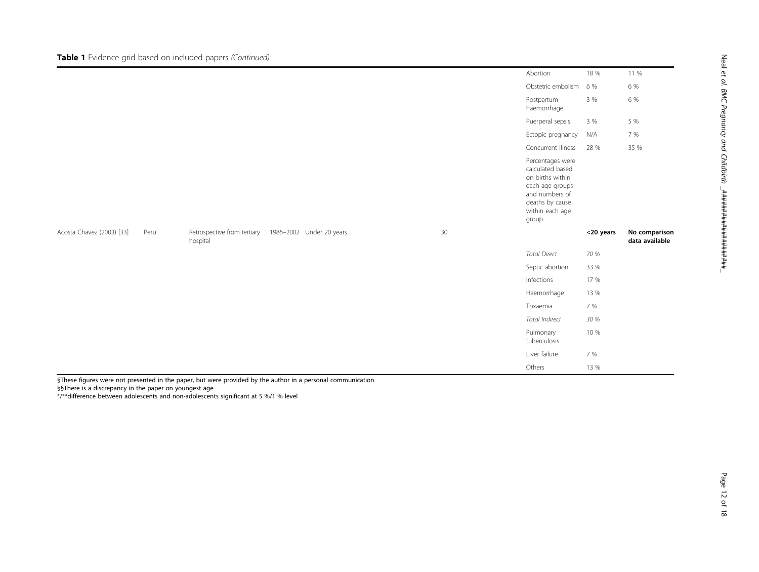|                           |      |                                         |                          |    | Abortion                                                                                                                                      | 18 %      | 11 %                            |
|---------------------------|------|-----------------------------------------|--------------------------|----|-----------------------------------------------------------------------------------------------------------------------------------------------|-----------|---------------------------------|
|                           |      |                                         |                          |    | Obstetric embolism                                                                                                                            | 6 %       | 6 %                             |
|                           |      |                                         |                          |    | Postpartum<br>haemorrhage                                                                                                                     | 3 %       | 6 %                             |
|                           |      |                                         |                          |    | Puerperal sepsis                                                                                                                              | 3 %       | 5 %                             |
|                           |      |                                         |                          |    | Ectopic pregnancy                                                                                                                             | N/A       | 7 %                             |
|                           |      |                                         |                          |    | Concurrent illness                                                                                                                            | 28 %      | 35 %                            |
|                           |      |                                         |                          |    | Percentages were<br>calculated based<br>on births within<br>each age groups<br>and numbers of<br>deaths by cause<br>within each age<br>group. |           |                                 |
| Acosta Chavez (2003) [33] | Peru | Retrospective from tertiary<br>hospital | 1986-2002 Under 20 years | 30 |                                                                                                                                               | <20 years | No comparison<br>data available |
|                           |      |                                         |                          |    | <b>Total Direct</b>                                                                                                                           | 70 %      |                                 |
|                           |      |                                         |                          |    | Septic abortion                                                                                                                               | 33 %      |                                 |
|                           |      |                                         |                          |    | Infections                                                                                                                                    | 17 %      |                                 |
|                           |      |                                         |                          |    | Haemorrhage                                                                                                                                   | 13 %      |                                 |
|                           |      |                                         |                          |    | Toxaemia                                                                                                                                      | 7 %       |                                 |
|                           |      |                                         |                          |    | Total Indirect                                                                                                                                | 30 %      |                                 |
|                           |      |                                         |                          |    | Pulmonary<br>tuberculosis                                                                                                                     | 10 %      |                                 |
|                           |      |                                         |                          |    | Liver failure                                                                                                                                 | 7 %       |                                 |
|                           |      |                                         |                          |    | Others                                                                                                                                        | 13 %      |                                 |

§These figures were not presented in the paper, but were provided by the author in <sup>a</sup> personal communication

§§There is a discrepancy in the paper on youngest age

\*/\*\*difference between adolescents and non-adolescents significant at 5 %/1 % level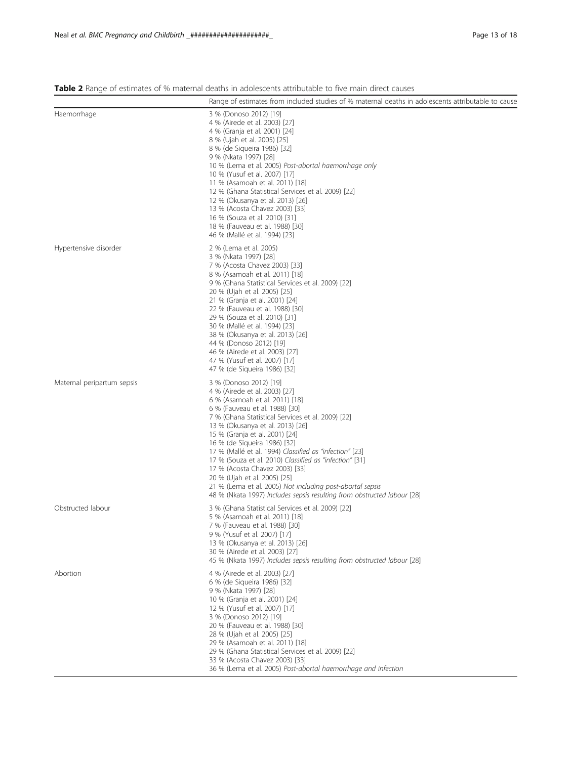<span id="page-12-0"></span>Table 2 Range of estimates of % maternal deaths in adolescents attributable to five main direct causes

|                            | Range of estimates from included studies of % maternal deaths in adolescents attributable to cause                                                                                                                                                                                                                                                                                                                                                                                                                                                                                                                     |
|----------------------------|------------------------------------------------------------------------------------------------------------------------------------------------------------------------------------------------------------------------------------------------------------------------------------------------------------------------------------------------------------------------------------------------------------------------------------------------------------------------------------------------------------------------------------------------------------------------------------------------------------------------|
| Haemorrhage                | 3 % (Donoso 2012) [19]<br>4 % (Airede et al. 2003) [27]<br>4 % (Granja et al. 2001) [24]<br>8 % (Ujah et al. 2005) [25]<br>8 % (de Siqueira 1986) [32]<br>9 % (Nkata 1997) [28]<br>10 % (Lema et al. 2005) Post-abortal haemorrhage only<br>10 % (Yusuf et al. 2007) [17]<br>11 % (Asamoah et al. 2011) [18]<br>12 % (Ghana Statistical Services et al. 2009) [22]<br>12 % (Okusanya et al. 2013) [26]<br>13 % (Acosta Chavez 2003) [33]<br>16 % (Souza et al. 2010) [31]<br>18 % (Fauveau et al. 1988) [30]<br>46 % (Mallé et al. 1994) [23]                                                                          |
| Hypertensive disorder      | 2 % (Lema et al. 2005)<br>3 % (Nkata 1997) [28]<br>7 % (Acosta Chavez 2003) [33]<br>8 % (Asamoah et al. 2011) [18]<br>9 % (Ghana Statistical Services et al. 2009) [22]<br>20 % (Ujah et al. 2005) [25]<br>21 % (Granja et al. 2001) [24]<br>22 % (Fauveau et al. 1988) [30]<br>29 % (Souza et al. 2010) [31]<br>30 % (Mallé et al. 1994) [23]<br>38 % (Okusanya et al. 2013) [26]<br>44 % (Donoso 2012) [19]<br>46 % (Airede et al. 2003) [27]<br>47 % (Yusuf et al. 2007) [17]<br>47 % (de Sigueira 1986) [32]                                                                                                       |
| Maternal peripartum sepsis | 3 % (Donoso 2012) [19]<br>4 % (Airede et al. 2003) [27]<br>6 % (Asamoah et al. 2011) [18]<br>6 % (Fauveau et al. 1988) [30]<br>7 % (Ghana Statistical Services et al. 2009) [22]<br>13 % (Okusanya et al. 2013) [26]<br>15 % (Granja et al. 2001) [24]<br>16 % (de Siqueira 1986) [32]<br>17 % (Mallé et al. 1994) Classified as "infection" [23]<br>17 % (Souza et al. 2010) Classified as "infection" [31]<br>17 % (Acosta Chavez 2003) [33]<br>20 % (Ujah et al. 2005) [25]<br>21 % (Lema et al. 2005) Not including post-abortal sepsis<br>48 % (Nkata 1997) Includes sepsis resulting from obstructed labour [28] |
| Obstructed labour          | 3 % (Ghana Statistical Services et al. 2009) [22]<br>5 % (Asamoah et al. 2011) [18]<br>7 % (Fauveau et al. 1988) [30]<br>9 % (Yusuf et al. 2007) [17]<br>13 % (Okusanya et al. 2013) [26]<br>30 % (Airede et al. 2003) [27]<br>45 % (Nkata 1997) Includes sepsis resulting from obstructed labour [28]                                                                                                                                                                                                                                                                                                                 |
| Abortion                   | 4 % (Airede et al. 2003) [27]<br>6 % (de Sigueira 1986) [32]<br>9 % (Nkata 1997) [28]<br>10 % (Granja et al. 2001) [24]<br>12 % (Yusuf et al. 2007) [17]<br>3 % (Donoso 2012) [19]<br>20 % (Fauveau et al. 1988) [30]<br>28 % (Ujah et al. 2005) [25]<br>29 % (Asamoah et al. 2011) [18]<br>29 % (Ghana Statistical Services et al. 2009) [22]<br>33 % (Acosta Chavez 2003) [33]<br>36 % (Lema et al. 2005) Post-abortal haemorrhage and infection                                                                                                                                                                     |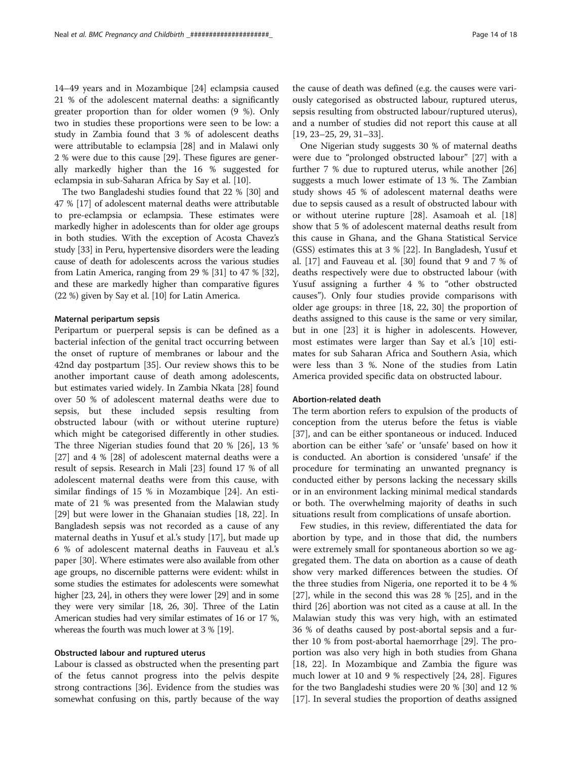14–49 years and in Mozambique [\[24](#page-17-0)] eclampsia caused 21 % of the adolescent maternal deaths: a significantly greater proportion than for older women (9 %). Only two in studies these proportions were seen to be low: a study in Zambia found that 3 % of adolescent deaths were attributable to eclampsia [[28\]](#page-17-0) and in Malawi only 2 % were due to this cause [[29\]](#page-17-0). These figures are generally markedly higher than the 16 % suggested for eclampsia in sub-Saharan Africa by Say et al. [\[10](#page-16-0)].

The two Bangladeshi studies found that 22 % [\[30\]](#page-17-0) and 47 % [[17](#page-16-0)] of adolescent maternal deaths were attributable to pre-eclampsia or eclampsia. These estimates were markedly higher in adolescents than for older age groups in both studies. With the exception of Acosta Chavez's study [[33](#page-17-0)] in Peru, hypertensive disorders were the leading cause of death for adolescents across the various studies from Latin America, ranging from 29 % [\[31\]](#page-17-0) to 47 % [[32](#page-17-0)], and these are markedly higher than comparative figures (22 %) given by Say et al. [\[10\]](#page-16-0) for Latin America.

#### Maternal peripartum sepsis

Peripartum or puerperal sepsis is can be defined as a bacterial infection of the genital tract occurring between the onset of rupture of membranes or labour and the 42nd day postpartum [[35](#page-17-0)]. Our review shows this to be another important cause of death among adolescents, but estimates varied widely. In Zambia Nkata [\[28](#page-17-0)] found over 50 % of adolescent maternal deaths were due to sepsis, but these included sepsis resulting from obstructed labour (with or without uterine rupture) which might be categorised differently in other studies. The three Nigerian studies found that 20 % [\[26](#page-17-0)], 13 % [[27\]](#page-17-0) and 4 % [[28\]](#page-17-0) of adolescent maternal deaths were a result of sepsis. Research in Mali [\[23](#page-17-0)] found 17 % of all adolescent maternal deaths were from this cause, with similar findings of 15 % in Mozambique [[24\]](#page-17-0). An estimate of 21 % was presented from the Malawian study [[29\]](#page-17-0) but were lower in the Ghanaian studies [[18, 22\]](#page-17-0). In Bangladesh sepsis was not recorded as a cause of any maternal deaths in Yusuf et al.'s study [[17](#page-16-0)], but made up 6 % of adolescent maternal deaths in Fauveau et al.'s paper [[30\]](#page-17-0). Where estimates were also available from other age groups, no discernible patterns were evident: whilst in some studies the estimates for adolescents were somewhat higher [[23, 24](#page-17-0)], in others they were lower [\[29\]](#page-17-0) and in some they were very similar [\[18, 26](#page-17-0), [30\]](#page-17-0). Three of the Latin American studies had very similar estimates of 16 or 17 %, whereas the fourth was much lower at 3 % [\[19](#page-17-0)].

#### Obstructed labour and ruptured uterus

Labour is classed as obstructed when the presenting part of the fetus cannot progress into the pelvis despite strong contractions [[36\]](#page-17-0). Evidence from the studies was somewhat confusing on this, partly because of the way the cause of death was defined (e.g. the causes were variously categorised as obstructed labour, ruptured uterus, sepsis resulting from obstructed labour/ruptured uterus), and a number of studies did not report this cause at all [[19, 23](#page-17-0)–[25](#page-17-0), [29](#page-17-0), [31](#page-17-0)–[33\]](#page-17-0).

One Nigerian study suggests 30 % of maternal deaths were due to "prolonged obstructed labour" [[27](#page-17-0)] with a further 7 % due to ruptured uterus, while another [[26](#page-17-0)] suggests a much lower estimate of 13 %. The Zambian study shows 45 % of adolescent maternal deaths were due to sepsis caused as a result of obstructed labour with or without uterine rupture [\[28\]](#page-17-0). Asamoah et al. [[18](#page-17-0)] show that 5 % of adolescent maternal deaths result from this cause in Ghana, and the Ghana Statistical Service (GSS) estimates this at 3 % [[22\]](#page-17-0). In Bangladesh, Yusuf et al. [[17\]](#page-16-0) and Fauveau et al. [\[30\]](#page-17-0) found that 9 and 7 % of deaths respectively were due to obstructed labour (with Yusuf assigning a further 4 % to "other obstructed causes"). Only four studies provide comparisons with older age groups: in three [[18, 22](#page-17-0), [30\]](#page-17-0) the proportion of deaths assigned to this cause is the same or very similar, but in one [[23](#page-17-0)] it is higher in adolescents. However, most estimates were larger than Say et al.'s [[10\]](#page-16-0) estimates for sub Saharan Africa and Southern Asia, which were less than 3 %. None of the studies from Latin America provided specific data on obstructed labour.

#### Abortion-related death

The term abortion refers to expulsion of the products of conception from the uterus before the fetus is viable [[37\]](#page-17-0), and can be either spontaneous or induced. Induced abortion can be either 'safe' or 'unsafe' based on how it is conducted. An abortion is considered 'unsafe' if the procedure for terminating an unwanted pregnancy is conducted either by persons lacking the necessary skills or in an environment lacking minimal medical standards or both. The overwhelming majority of deaths in such situations result from complications of unsafe abortion.

Few studies, in this review, differentiated the data for abortion by type, and in those that did, the numbers were extremely small for spontaneous abortion so we aggregated them. The data on abortion as a cause of death show very marked differences between the studies. Of the three studies from Nigeria, one reported it to be 4 % [[27\]](#page-17-0), while in the second this was 28 % [[25](#page-17-0)], and in the third [\[26\]](#page-17-0) abortion was not cited as a cause at all. In the Malawian study this was very high, with an estimated 36 % of deaths caused by post-abortal sepsis and a further 10 % from post-abortal haemorrhage [\[29\]](#page-17-0). The proportion was also very high in both studies from Ghana [[18, 22](#page-17-0)]. In Mozambique and Zambia the figure was much lower at 10 and 9 % respectively [[24](#page-17-0), [28\]](#page-17-0). Figures for the two Bangladeshi studies were 20 % [[30\]](#page-17-0) and 12 % [[17\]](#page-16-0). In several studies the proportion of deaths assigned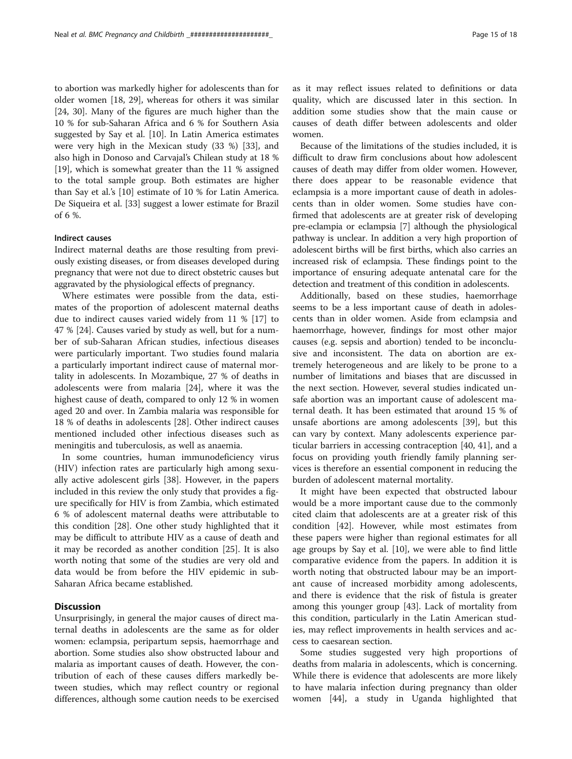to abortion was markedly higher for adolescents than for older women [\[18](#page-17-0), [29\]](#page-17-0), whereas for others it was similar [[24, 30\]](#page-17-0). Many of the figures are much higher than the 10 % for sub-Saharan Africa and 6 % for Southern Asia suggested by Say et al. [\[10\]](#page-16-0). In Latin America estimates were very high in the Mexican study (33 %) [[33\]](#page-17-0), and also high in Donoso and Carvajal's Chilean study at 18 % [[19\]](#page-17-0), which is somewhat greater than the 11 % assigned to the total sample group. Both estimates are higher than Say et al.'s [[10](#page-16-0)] estimate of 10 % for Latin America. De Siqueira et al. [\[33](#page-17-0)] suggest a lower estimate for Brazil of 6 %.

#### Indirect causes

Indirect maternal deaths are those resulting from previously existing diseases, or from diseases developed during pregnancy that were not due to direct obstetric causes but aggravated by the physiological effects of pregnancy.

Where estimates were possible from the data, estimates of the proportion of adolescent maternal deaths due to indirect causes varied widely from 11 % [\[17\]](#page-16-0) to 47 % [\[24](#page-17-0)]. Causes varied by study as well, but for a number of sub-Saharan African studies, infectious diseases were particularly important. Two studies found malaria a particularly important indirect cause of maternal mortality in adolescents. In Mozambique, 27 % of deaths in adolescents were from malaria [\[24](#page-17-0)], where it was the highest cause of death, compared to only 12 % in women aged 20 and over. In Zambia malaria was responsible for 18 % of deaths in adolescents [\[28](#page-17-0)]. Other indirect causes mentioned included other infectious diseases such as meningitis and tuberculosis, as well as anaemia.

In some countries, human immunodeficiency virus (HIV) infection rates are particularly high among sexually active adolescent girls [[38](#page-17-0)]. However, in the papers included in this review the only study that provides a figure specifically for HIV is from Zambia, which estimated 6 % of adolescent maternal deaths were attributable to this condition [[28\]](#page-17-0). One other study highlighted that it may be difficult to attribute HIV as a cause of death and it may be recorded as another condition [[25\]](#page-17-0). It is also worth noting that some of the studies are very old and data would be from before the HIV epidemic in sub-Saharan Africa became established.

#### **Discussion**

Unsurprisingly, in general the major causes of direct maternal deaths in adolescents are the same as for older women: eclampsia, peripartum sepsis, haemorrhage and abortion. Some studies also show obstructed labour and malaria as important causes of death. However, the contribution of each of these causes differs markedly between studies, which may reflect country or regional differences, although some caution needs to be exercised as it may reflect issues related to definitions or data quality, which are discussed later in this section. In addition some studies show that the main cause or causes of death differ between adolescents and older women.

Because of the limitations of the studies included, it is difficult to draw firm conclusions about how adolescent causes of death may differ from older women. However, there does appear to be reasonable evidence that eclampsia is a more important cause of death in adolescents than in older women. Some studies have confirmed that adolescents are at greater risk of developing pre-eclampia or eclampsia [\[7](#page-16-0)] although the physiological pathway is unclear. In addition a very high proportion of adolescent births will be first births, which also carries an increased risk of eclampsia. These findings point to the importance of ensuring adequate antenatal care for the detection and treatment of this condition in adolescents.

Additionally, based on these studies, haemorrhage seems to be a less important cause of death in adolescents than in older women. Aside from eclampsia and haemorrhage, however, findings for most other major causes (e.g. sepsis and abortion) tended to be inconclusive and inconsistent. The data on abortion are extremely heterogeneous and are likely to be prone to a number of limitations and biases that are discussed in the next section. However, several studies indicated unsafe abortion was an important cause of adolescent maternal death. It has been estimated that around 15 % of unsafe abortions are among adolescents [[39\]](#page-17-0), but this can vary by context. Many adolescents experience particular barriers in accessing contraception [[40, 41\]](#page-17-0), and a focus on providing youth friendly family planning services is therefore an essential component in reducing the burden of adolescent maternal mortality.

It might have been expected that obstructed labour would be a more important cause due to the commonly cited claim that adolescents are at a greater risk of this condition [\[42](#page-17-0)]. However, while most estimates from these papers were higher than regional estimates for all age groups by Say et al. [\[10](#page-16-0)], we were able to find little comparative evidence from the papers. In addition it is worth noting that obstructed labour may be an important cause of increased morbidity among adolescents, and there is evidence that the risk of fistula is greater among this younger group [\[43](#page-17-0)]. Lack of mortality from this condition, particularly in the Latin American studies, may reflect improvements in health services and access to caesarean section.

Some studies suggested very high proportions of deaths from malaria in adolescents, which is concerning. While there is evidence that adolescents are more likely to have malaria infection during pregnancy than older women [\[44\]](#page-17-0), a study in Uganda highlighted that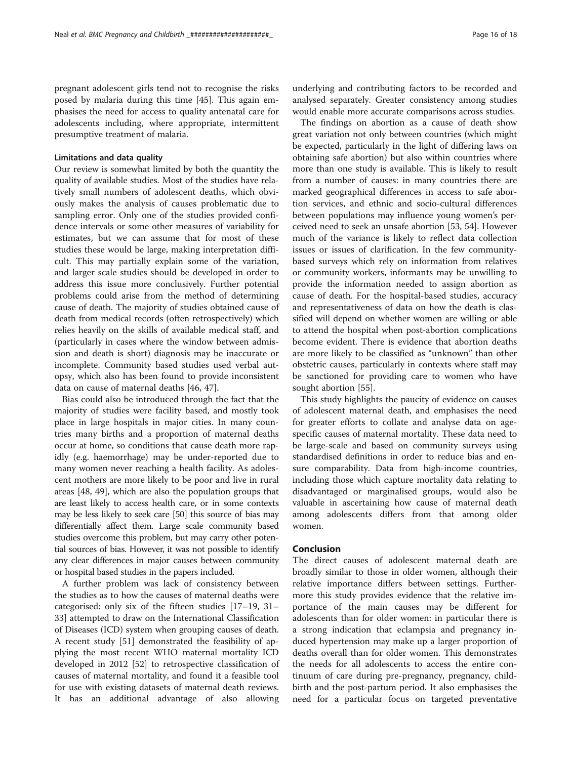pregnant adolescent girls tend not to recognise the risks posed by malaria during this time [[45](#page-17-0)]. This again emphasises the need for access to quality antenatal care for adolescents including, where appropriate, intermittent presumptive treatment of malaria.

#### Limitations and data quality

Our review is somewhat limited by both the quantity the quality of available studies. Most of the studies have relatively small numbers of adolescent deaths, which obviously makes the analysis of causes problematic due to sampling error. Only one of the studies provided confidence intervals or some other measures of variability for estimates, but we can assume that for most of these studies these would be large, making interpretation difficult. This may partially explain some of the variation, and larger scale studies should be developed in order to address this issue more conclusively. Further potential problems could arise from the method of determining cause of death. The majority of studies obtained cause of death from medical records (often retrospectively) which relies heavily on the skills of available medical staff, and (particularly in cases where the window between admission and death is short) diagnosis may be inaccurate or incomplete. Community based studies used verbal autopsy, which also has been found to provide inconsistent data on cause of maternal deaths [[46, 47\]](#page-17-0).

Bias could also be introduced through the fact that the majority of studies were facility based, and mostly took place in large hospitals in major cities. In many countries many births and a proportion of maternal deaths occur at home, so conditions that cause death more rapidly (e.g. haemorrhage) may be under-reported due to many women never reaching a health facility. As adolescent mothers are more likely to be poor and live in rural areas [[48, 49\]](#page-17-0), which are also the population groups that are least likely to access health care, or in some contexts may be less likely to seek care [[50](#page-17-0)] this source of bias may differentially affect them. Large scale community based studies overcome this problem, but may carry other potential sources of bias. However, it was not possible to identify any clear differences in major causes between community or hospital based studies in the papers included.

A further problem was lack of consistency between the studies as to how the causes of maternal deaths were categorised: only six of the fifteen studies [[17](#page-16-0)–[19](#page-17-0), [31](#page-17-0)– [33\]](#page-17-0) attempted to draw on the International Classification of Diseases (ICD) system when grouping causes of death. A recent study [\[51](#page-17-0)] demonstrated the feasibility of applying the most recent WHO maternal mortality ICD developed in 2012 [[52](#page-17-0)] to retrospective classification of causes of maternal mortality, and found it a feasible tool for use with existing datasets of maternal death reviews. It has an additional advantage of also allowing underlying and contributing factors to be recorded and analysed separately. Greater consistency among studies would enable more accurate comparisons across studies.

The findings on abortion as a cause of death show great variation not only between countries (which might be expected, particularly in the light of differing laws on obtaining safe abortion) but also within countries where more than one study is available. This is likely to result from a number of causes: in many countries there are marked geographical differences in access to safe abortion services, and ethnic and socio-cultural differences between populations may influence young women's perceived need to seek an unsafe abortion [\[53, 54\]](#page-17-0). However much of the variance is likely to reflect data collection issues or issues of clarification. In the few communitybased surveys which rely on information from relatives or community workers, informants may be unwilling to provide the information needed to assign abortion as cause of death. For the hospital-based studies, accuracy and representativeness of data on how the death is classified will depend on whether women are willing or able to attend the hospital when post-abortion complications become evident. There is evidence that abortion deaths are more likely to be classified as "unknown" than other obstetric causes, particularly in contexts where staff may be sanctioned for providing care to women who have sought abortion [[55\]](#page-17-0).

This study highlights the paucity of evidence on causes of adolescent maternal death, and emphasises the need for greater efforts to collate and analyse data on agespecific causes of maternal mortality. These data need to be large-scale and based on community surveys using standardised definitions in order to reduce bias and ensure comparability. Data from high-income countries, including those which capture mortality data relating to disadvantaged or marginalised groups, would also be valuable in ascertaining how cause of maternal death among adolescents differs from that among older women.

#### Conclusion

The direct causes of adolescent maternal death are broadly similar to those in older women, although their relative importance differs between settings. Furthermore this study provides evidence that the relative importance of the main causes may be different for adolescents than for older women: in particular there is a strong indication that eclampsia and pregnancy induced hypertension may make up a larger proportion of deaths overall than for older women. This demonstrates the needs for all adolescents to access the entire continuum of care during pre-pregnancy, pregnancy, childbirth and the post-partum period. It also emphasises the need for a particular focus on targeted preventative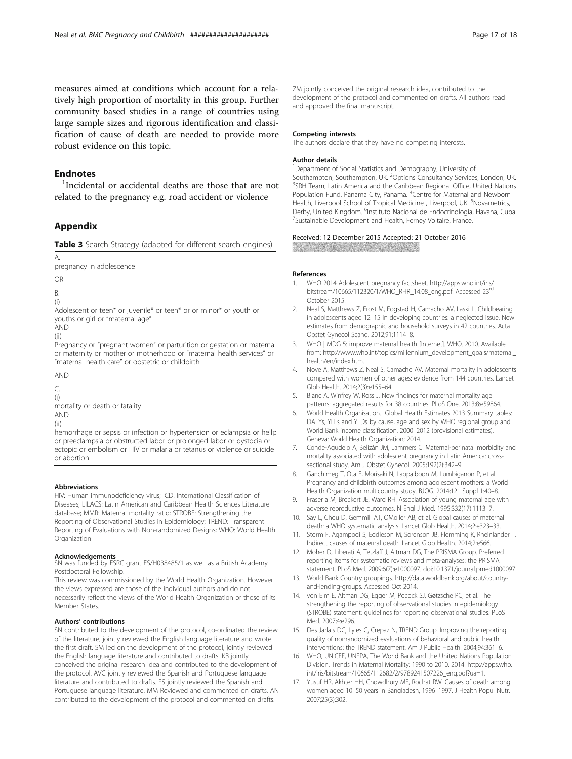<span id="page-16-0"></span>measures aimed at conditions which account for a relatively high proportion of mortality in this group. Further community based studies in a range of countries using large sample sizes and rigorous identification and classification of cause of death are needed to provide more robust evidence on this topic.

#### **Endnotes**

Incidental or accidental deaths are those that are not related to the pregnancy e.g. road accident or violence

#### Appendix

**Table 3** Search Strategy (adapted for different search engines)

A. pregnancy in adolescence

OR

B.

(i)

Adolescent or teen\* or juvenile\* or teen\* or or minor\* or youth or youths or girl or "maternal age" AND

(ii)

Pregnancy or "pregnant women" or parturition or gestation or maternal or maternity or mother or motherhood or "maternal health services" or "maternal health care" or obstetric or childbirth

AND

C. (i) mortality or death or fatality AND (ii)

hemorrhage or sepsis or infection or hypertension or eclampsia or hellp or preeclampsia or obstructed labor or prolonged labor or dystocia or ectopic or embolism or HIV or malaria or tetanus or violence or suicide or abortion

#### Abbreviations

HIV: Human immunodeficiency virus; ICD: International Classification of Diseases; LILACS: Latin American and Caribbean Health Sciences Literature database; MMR: Maternal mortality ratio; STROBE: Strengthening the Reporting of Observational Studies in Epidemiology; TREND: Transparent Reporting of Evaluations with Non-randomized Designs; WHO: World Health **Organization** 

#### Acknowledgements

SN was funded by ESRC grant ES/H038485/1 as well as a British Academy Postdoctoral Fellowship.

This review was commissioned by the World Health Organization. However the views expressed are those of the individual authors and do not necessarily reflect the views of the World Health Organization or those of its Member States.

#### Authors' contributions

SN contributed to the development of the protocol, co-ordinated the review of the literature, jointly reviewed the English language literature and wrote the first draft. SM led on the development of the protocol, jointly reviewed the English language literature and contributed to drafts. KB jointly conceived the original research idea and contributed to the development of the protocol. AVC jointly reviewed the Spanish and Portuguese language literature and contributed to drafts. FS jointly reviewed the Spanish and Portuguese language literature. MM Reviewed and commented on drafts. AN contributed to the development of the protocol and commented on drafts.

ZM jointly conceived the original research idea, contributed to the development of the protocol and commented on drafts. All authors read and approved the final manuscript.

#### Competing interests

The authors declare that they have no competing interests.

#### Author details

<sup>1</sup>Department of Social Statistics and Demography, University of Southampton, Southampton, UK. <sup>2</sup>Options Consultancy Services, London, UK. <sup>3</sup>SPH Topm, Latin America and the Caribboan Positional Office Libited National <sup>3</sup>SRH Team, Latin America and the Caribbean Regional Office, United Nations Population Fund, Panama City, Panama. <sup>4</sup>Centre for Maternal and Newborn Health, Liverpool School of Tropical Medicine, Liverpool, UK. <sup>5</sup>Novametrics Derby, United Kingdom. <sup>6</sup>Instituto Nacional de Endocrinología, Havana, Cuba.<br><sup>7</sup>Sustainable Development and Health, Ferney Veltaire, France. <sup>7</sup>Sustainable Development and Health, Ferney Voltaire, France.

#### Received: 12 December 2015 Accepted: 21 October 2016

#### References

- WHO 2014 Adolescent pregnancy factsheet. [http://apps.who.int/iris/](http://apps.who.int/iris/bitstream/10665/112320/1/WHO_RHR_14.08_eng.pdf) [bitstream/10665/112320/1/WHO\\_RHR\\_14.08\\_eng.pdf](http://apps.who.int/iris/bitstream/10665/112320/1/WHO_RHR_14.08_eng.pdf). Accessed 23rd October 2015.
- 2. Neal S, Matthews Z, Frost M, Fogstad H, Camacho AV, Laski L. Childbearing in adolescents aged 12–15 in developing countries: a neglected issue. New estimates from demographic and household surveys in 42 countries. Acta Obstet Gynecol Scand. 2012;91:1114–8.
- 3. WHO | MDG 5: improve maternal health [Internet]. WHO. 2010. Available from: [http://www.who.int/topics/millennium\\_development\\_goals/maternal\\_](http://www.who.int/topics/millennium_development_goals/maternal_health/en/index.htm) [health/en/index.htm](http://www.who.int/topics/millennium_development_goals/maternal_health/en/index.htm).
- Nove A, Matthews Z, Neal S, Camacho AV. Maternal mortality in adolescents compared with women of other ages: evidence from 144 countries. Lancet Glob Health. 2014;2(3):e155–64.
- 5. Blanc A, Winfrey W, Ross J. New findings for maternal mortality age patterns: aggregated results for 38 countries. PLoS One. 2013;8:e59864.
- 6. World Health Organisation. Global Health Estimates 2013 Summary tables: DALYs, YLLs and YLDs by cause, age and sex by WHO regional group and World Bank income classification, 2000–2012 (provisional estimates). Geneva: World Health Organization; 2014.
- 7. Conde-Agudelo A, Belizán JM, Lammers C. Maternal-perinatal morbidity and mortality associated with adolescent pregnancy in Latin America: crosssectional study. Am J Obstet Gynecol. 2005;192(2):342–9.
- 8. Ganchimeg T, Ota E, Morisaki N, Laopaiboon M, Lumbiganon P, et al. Pregnancy and childbirth outcomes among adolescent mothers: a World Health Organization multicountry study. BJOG. 2014;121 Suppl 1:40–8.
- 9. Fraser a M, Brockert JE, Ward RH. Association of young maternal age with adverse reproductive outcomes. N Engl J Med. 1995;332(17):1113–7.
- 10. Say L, Chou D, Gemmill AT, OMoller AB, et al. Global causes of maternal death: a WHO systematic analysis. Lancet Glob Health. 2014;2:e323–33.
- 11. Storm F, Agampodi S, Eddleson M, Sorenson JB, Flemming K, Rheinlander T. Indirect causes of maternal death. Lancet Glob Health. 2014;2:e566.
- 12. Moher D, Liberati A, Tetzlaff J, Altman DG, The PRISMA Group. Preferred reporting items for systematic reviews and meta-analyses: the PRISMA statement. PLoS Med. 2009;6(7):e1000097. doi[:10.1371/journal.pmed1000097.](http://dx.doi.org/10.1371/journal.pmed1000097)
- 13. World Bank Country groupings. [http://data.worldbank.org/about/country](http://data.worldbank.org/about/country-and-lending-groups)[and-lending-groups](http://data.worldbank.org/about/country-and-lending-groups). Accessed Oct 2014.
- 14. von Elm E, Altman DG, Egger M, Pocock SJ, Gøtzsche PC, et al. The strengthening the reporting of observational studies in epidemiology (STROBE) statement: guidelines for reporting observational studies. PLoS Med. 2007;4:e296.
- 15. Des Jarlais DC, Lyles C, Crepaz N, TREND Group. Improving the reporting quality of nonrandomized evaluations of behavioral and public health interventions: the TREND statement. Am J Public Health. 2004;94:361–6.
- 16. WHO, UNICEF, UNFPA, The World Bank and the United Nations Population Division. Trends in Maternal Mortality: 1990 to 2010. 2014. [http://apps.who.](http://apps.who.int/iris/bitstream/10665/112682/2/9789241507226_eng.pdf?ua=1) [int/iris/bitstream/10665/112682/2/9789241507226\\_eng.pdf?ua=1](http://apps.who.int/iris/bitstream/10665/112682/2/9789241507226_eng.pdf?ua=1).
- 17. Yusuf HR, Akhter HH, Chowdhury ME, Rochat RW. Causes of death among women aged 10–50 years in Bangladesh, 1996–1997. J Health Popul Nutr. 2007;25(3):302.